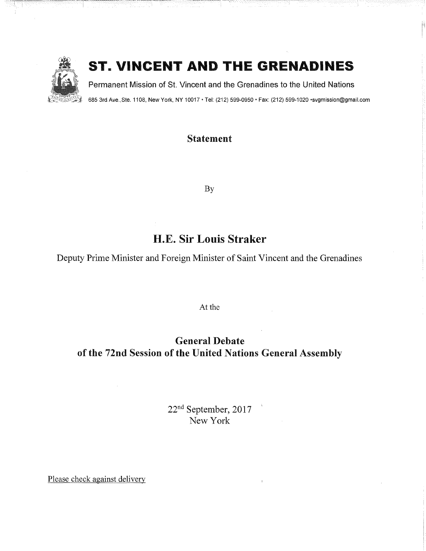

"-i-ÿ ........................ i ......................................

# ST. VINCENT AND THE GRENADINES

Permanent Mission of St. Vincent and the Grenadines to the United Nations

685 3rd Ave., Ste. 1108, New York, NY 10017 • Tel: (212) 599-0950 • Fax: (212) 599-1020 • svgmission@gmail.com

### Statement

By

## H.E. Sir Louis Straker

Deputy Prime Minister and Foreign Minister of Saint Vincent and the Grenadines

At the

General Debate of the 72nd Session of the United Nations General Assembly

> 22nd September, 2017 New York

Please check against delivery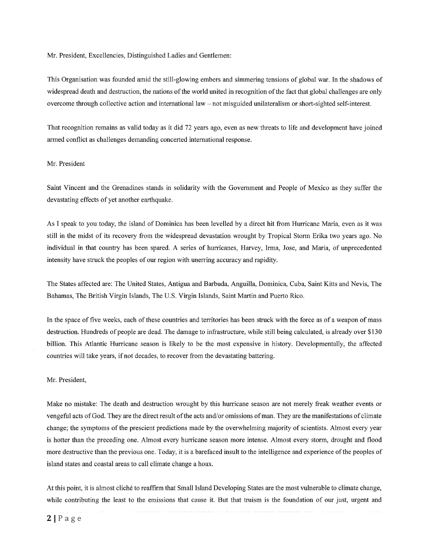Mr. President, Excellencies, Distinguished Ladies and Gentlemen:

This Organisation was founded amid the still-glowing embers and simmering tensions of global war. In the shadows of widespread death and destruction, the nations of the world united in recognition of the fact that global challenges are only overcome through collective action and international law - not misguided unilateralism or short-sighted self-interest.

That recognition remains as valid today as it did 72 years ago, even as new threats to life and development have joined armed conflict as challenges demanding concerted international response.

#### Mr. President

Saint Vincent and the Grenadines stands in solidarity with the Government and People of Mexico as they suffer the devastating effects of yet another earthquake.

As I speak to you today, the island of Dominica has been levelled by a direct hit from Hurricane Maria, even as it was still in the midst of its recovery from the widespread devastation wrought by Tropical Storm Erika two years ago. No individual in that country has been spared. A series of hurricanes, Harvey, Irma, Jose, and Maria, of unprecedented intensity have struck the peoples of our region with unerring accuracy and rapidity.

The States affected are: The United States, Antigua and Barbuda, Anguilla, Dominica, Cuba, Saint Kitts and Nevis, The Bahamas, The British Virgin Islands, The U.S. Virgin Islands, Saint Martin and Puerto Rico.

In the space of five weeks, each of these countries and territories has been struck with the force as of a weapon of mass destruction. Hundreds of people are dead. The damage to infrastructure, while still being calculated, is already over \$130 billion. This Atlantic Hurricane season is likely to be the most expensive in history. Developmentally, the affected countries will take years, if not decades, to recover from the devastating battering.

Mr. President,

Make no mistake: The death and destruction wrought by this hurricane season are not merely freak weather events or vengeful acts of God. They are the direct result of the acts and/or omissions of man. They are the manifestations of climate change; the symptoms of the prescient predictions made by the overwhelming majority of scientists. Almost every year is hotter than the preceding one. Almost every hurricane season more intense. Almost every storm, drought and flood more destructive than the previous one. Today, it is a barefaced insult to the intelligence and experience of the peoples of island states and coastal areas to call climate change a hoax.

At this point, it is almost cliché to reaffirm that Small Island Developing States are the most vulnerable to climate change, while contributing the least to the emissions that cause it. But that truism is the foundation of our just, urgent and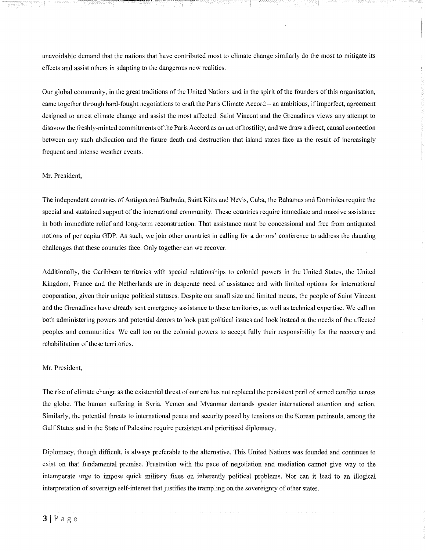unavoidable demand that the nations that have contributed most to climate change similarly do the most to mitigate its effects and assist others in adapting to the dangerous new realities.

Our global community, in the great traditions of the United Nations and in the spirit of the founders of this organisation, came together through hard-fought negotiations to craft the Paris Climate Accord - an ambitious, if imperfect, agreement designed to arrest climate change and assist the most affected. Saint Vincent and the Grenadines views any attempt to disavow the freshly-minted commitments of the Paris Accord as an act of hostility, and we draw a direct, causal connection between any such abdication and the future death and destruction that island states face as the result of increasingly frequent and intense weather events.

#### Mr. President,

The independent countries of Antigua and Barbuda, Saint Kitts and Nevis, Cuba, the Bahamas and Dominica require the special and sustained support of the international community. These countries require immediate and massive assistance in both immediate relief and long-term reconstruction. That assistance must be concessional and free from antiquated notions of per capita GDP. As such, we join other countries in calling for a donors' conference to address the daunting challenges that these countries face. Only together can we recover.

Additionally, the Caribbean territories with special relationships to colonial powers in the United States, the United Kingdom, France and the Netherlands are in desperate need of assistance and with limited options for international cooperation, given their unique political statuses. Despite our small size and limited means, the people of Saint Vincent and the Grenadines have already sent emergency assistance to these territories, as well as technical expertise. We call on both administering powers and potential donors to look past political issues and look instead at the needs of the affected peoples and communities. We call too on the colonial powers to accept fully their responsibility for the recovery and rehabilitation of these territories.

#### Mr. President,

The rise of climate change as the existential threat of our era has not replaced the persistent peril of armed conflict across the globe. The human suffering in Syria, Yemen and Myanmar demands greater international attention and action. Similarly, the potential threats to international peace and security posed by tensions on the Korean peninsula, among the Gulf States and in the State of Palestine require persistent and prioritised diplomacy.

Diplomacy, though difficult, is always preferable to the alternative. This United Nations was founded and continues to exist on that fundamental premise. Frustration with the pace of negotiation and mediation cannot give way to the intemperate urge to impose quick military fixes on inherently political problems. Nor can it lead to an illogical interpretation of sovereign self-interest that justifies the trampling on the sovereignty of other states.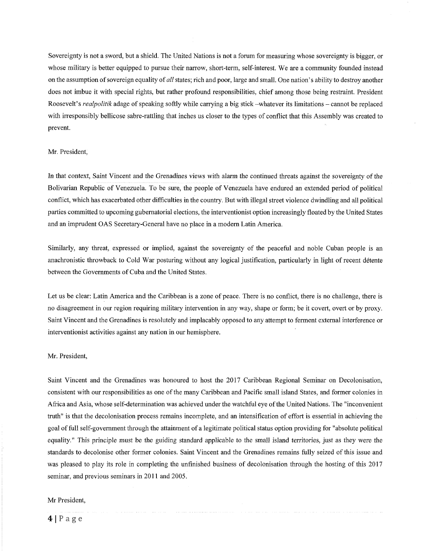Sovereignty is not a sword, but a shield. The United Nations is not a forum for measuring whose sovereignty is bigger, or whose military is better equipped to pursue their narrow, short-term, self-interest. We are a community founded instead on the assumption of sovereign equality of all states; rich and poor, large and small. One nation's ability to destroy another does not imbue it with special rights, but rather profound responsibilities, chief among those being restraint. President Roosevelt's realpolitik adage of speaking softly while carrying a big stick -whatever its limitations - cannot be replaced with irresponsibly bellicose sabre-rattling that inches us closer to the types of conflict that this Assembly was created to prevent.

#### Mr. President,

In that context, Saint Vincent and the Grenadines views with alarm the continued threats against the sovereignty of the Bolivarian Republic of Venezuela. To be sure, the people of Venezuela have endured an extended period of political conflict, which has exacerbated other difficulties in the country. But with illegal street violence dwindling and all political parties committed to upcoming gubernatorial elections, the interventionist option increasingly floated by the United States and an imprudent OAS Secretary-General have no place in a modern Latin America.

Similarly, any threat, expressed or implied, against the sovereignty of the peaceful and noble Cuban people is an anachronistic throwback to Cold War posturing without any logical justification, particularly in light of recent détente between the Governments of Cuba and the United States.

Let us be clear: Latin America and the Caribbean is a zone of peace. There is no conflict, there is no challenge, there is no disagreement in our region requiring military intervention in any way, shape or form; be it covert, overt or by proxy. Saint Vincent and the Grenadines is resolutely and implacably opposed to any attempt to ferment external interference or interventionist activities against any nation in our hemisphere.

#### Mr. President,

Saint Vincent and the Grenadines was honoured to host the 2017 Caribbean Regional Seminar on Decolonisation, consistent with our responsibilities as one of the many Caribbean and Pacific small island States, and former colonies in Africa and Asia, whose self-determination was achieved under the watchful eye of the United Nations. The "inconvenient truth" is that the decolonisation process remains incomplete, and an intensification of effort is essential in achieving the goal of full self-government through the attainment of a legitimate political status option providing for "absolute political equality." This principle must be the guiding standard applicable to the small island territories, just as they were the standards to decolonise other former colonies. Saint Vincent and the Grenadines remains fully seized of this issue and was pleased to play its role in completing the unfinished business of decolonisation through the hosting of this 2017 seminar, and previous seminars in 2011 and 2005.

#### Mr President,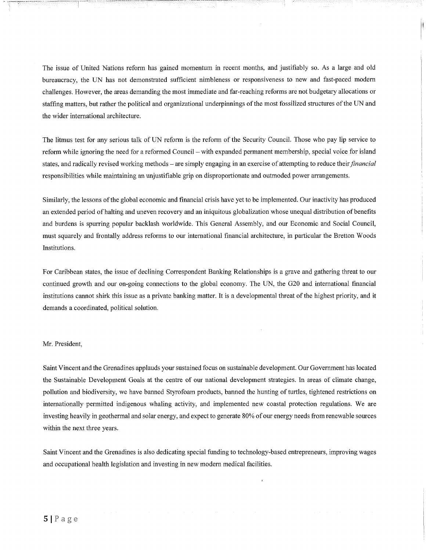The issue of United Nations reform has gained momentum in recent months, and justifiably so. As a large and old bureaucracy, the UN has not demonstrated sufficient nimbleness or responsiveness to new and fast-paced modern challenges. However, the areas demanding the most immediate and far-reaching reforms are not budgetary allocations or staffing matters, but rather the political and organizational underpinnings of the most fossilized structures of the UN and the wider international architecture.

The litmus test for any serious talk of UN reform is the reform of the Security Council. Those who pay lip service to reform while ignoring the need for a reformed Council - with expanded permanent membership, special voice for island states, and radically revised working methods – are simply engaging in an exercise of attempting to reduce their *financial* responsibilities while maintaining an unjustifiable grip on disproportionate and outmoded power arrangements.

Similarly, the lessons of the global economic and financial crisis have yet to be implemented. Our inactivity has produced an extended period of halting and uneven recovery and an iniquitous globalization whose unequal distribution of benefits and burdens is spurring popular backlash worldwide. This General Assembly, and our Economic and Social Council, must squarely and frontally address reforms to our international fmancial architecture, in particular the Bretton Woods Institutions.

For Caribbean states, the issue of declining Correspondent Banking Relationships is a grave and gathering threat to our continued growth and our on-going connections to the global economy. The UN, the G20 and international financial institutions cannot shirk this issue as a private banking matter. It is a developmental threat of the highest priority, and it demands a coordinated, political solution.

#### Mr. President,

Saint Vincent and the Grenadines applauds your sustained focus on sustainable development. Our Government has located the Sustainable Development Goals at the centre of our national development strategies. In areas of climate change, pollution and biodiversity, we have banned Styrofoam products, banned the hunting of turtles, tightened restrictions on internationally permitted indigenous whaling activity, and implemented new coastal protection regulations. We are investing heavily in geothermal and solar energy, and expect to generate 80% of our energy needs from renewable sources within the next three years.

Saint Vincent and the Grenadines is also dedicating special funding to technology-based entrepreneurs, improving wages and occupational health legislation and investing in new modern medical facilities.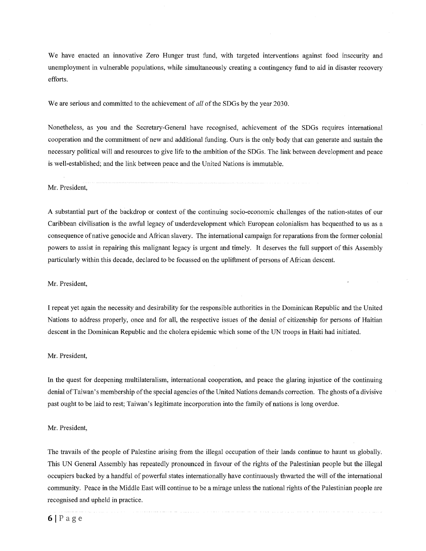We have enacted an innovative Zero Hunger trust fund, with targeted interventions against food insecurity and unemployment in vulnerable populations, while simultaneously creating a contingency fund to aid in disaster recovery efforts.

We are serious and committed to the achievement of *all* of the SDGs by the year 2030.

Nonetheless, as you and the Secretary-General have recognised, achievement of the SDGs requires international cooperation and the cormnitment of new and additional funding. Ours is the only body that can generate and sustain the necessary political will and resources to give life to the ambition of the SDGs. The link between development and peace is well-established; and the link between peace and the United Nations is immutable.

Mr. President,

A substantial part of the backdrop or context of the continuing socio-economic challenges of the nation-states of our Caribbean civilisation is the awful legacy of underdevelopment which European colonialism has bequeathed to us as a consequence of native genocide and African slavery. The international campaign for reparations from the former colonial powers to assist in repairing this malignant legacy is urgent and timely. It deserves the full support of this Assembly particularly within this decade, declared to be focussed on the upliftment of persons of African descent.

Mr. President,

I repeat yet again the necessity and desirability for the responsible authorities in the Dominican Republic and the United Nations to address properly, once and for all, the respective issues of the denial of citizenship for persons of Haitian descent in the Dominican Republic and the cholera epidemic which some of the UN troops in Haiti had initiated.

Mr. President,

In the quest for deepening multilateralism, international cooperation, and peace the glaring injustice of the continuing denial ofTaiwan's membership of the special agencies of the United Nations demands correction. The ghosts of a divisive past ought to be laid to rest; Taiwan's legitimate incorporation into the family of nations is long overdue.

#### Mr. President,

The travails of the people of Palestine arising from the illegal occupation of their lands continue to haunt us globally. This UN General Assembly has repeatedly pronounced in favour of the rights of the Palestinian people but the illegal occupiers backed by a handful of powerful states internationally have continuously thwarted the will of the international community. Peace in the Middle East will continue to be a mirage unless the national rights of the Palestinian people are recognised and upheld in practice.